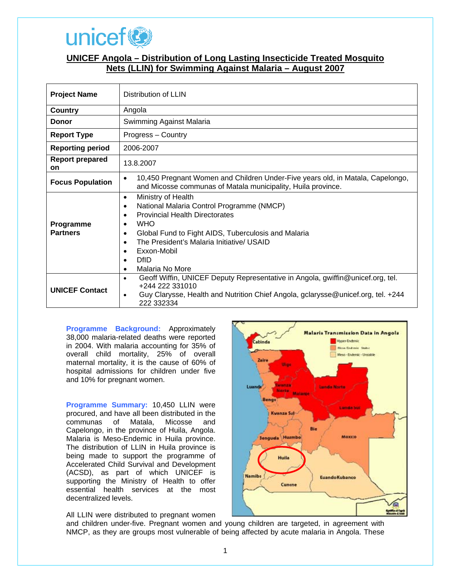

## **UNICEF Angola – Distribution of Long Lasting Insecticide Treated Mosquito Nets (LLIN) for Swimming Against Malaria – August 2007**

| <b>Project Name</b>                 | Distribution of LLIN                                                                                                                                                                                                                                                                                                                                                                      |
|-------------------------------------|-------------------------------------------------------------------------------------------------------------------------------------------------------------------------------------------------------------------------------------------------------------------------------------------------------------------------------------------------------------------------------------------|
| Country                             | Angola                                                                                                                                                                                                                                                                                                                                                                                    |
| <b>Donor</b>                        | Swimming Against Malaria                                                                                                                                                                                                                                                                                                                                                                  |
| <b>Report Type</b>                  | Progress - Country                                                                                                                                                                                                                                                                                                                                                                        |
| <b>Reporting period</b>             | 2006-2007                                                                                                                                                                                                                                                                                                                                                                                 |
| <b>Report prepared</b><br><b>on</b> | 13.8.2007                                                                                                                                                                                                                                                                                                                                                                                 |
| <b>Focus Population</b>             | 10,450 Pregnant Women and Children Under-Five years old, in Matala, Capelongo,<br>$\bullet$<br>and Micosse communas of Matala municipality, Huila province.                                                                                                                                                                                                                               |
| Programme<br><b>Partners</b>        | Ministry of Health<br>$\bullet$<br>National Malaria Control Programme (NMCP)<br>$\bullet$<br><b>Provincial Health Directorates</b><br>$\bullet$<br><b>WHO</b><br>$\bullet$<br>Global Fund to Fight AIDS, Tuberculosis and Malaria<br>$\bullet$<br>The President's Malaria Initiative/ USAID<br>$\bullet$<br>Exxon-Mobil<br>$\bullet$<br>DfID<br>$\bullet$<br>Malaria No More<br>$\bullet$ |
| <b>UNICEF Contact</b>               | Geoff Wiffin, UNICEF Deputy Representative in Angola, gwiffin@unicef.org, tel.<br>$\bullet$<br>+244 222 331010<br>Guy Clarysse, Health and Nutrition Chief Angola, gclarysse@unicef.org, tel. +244<br>$\bullet$<br>222 332334                                                                                                                                                             |

**Programme Background:** Approximately 38,000 malaria-related deaths were reported in 2004. With malaria accounting for 35% of overall child mortality, 25% of overall maternal mortality, it is the cause of 60% of hospital admissions for children under five and 10% for pregnant women.

**Programme Summary:** 10,450 LLIN were procured, and have all been distributed in the communas of Matala, Micosse and Capelongo, in the province of Huila, Angola. Malaria is Meso-Endemic in Huila province. The distribution of LLIN in Huila province is being made to support the programme of Accelerated Child Survival and Development (ACSD), as part of which UNICEF is supporting the Ministry of Health to offer essential health services at the most decentralized levels.

All LLIN were distributed to pregnant women



and children under-five. Pregnant women and young children are targeted, in agreement with NMCP, as they are groups most vulnerable of being affected by acute malaria in Angola. These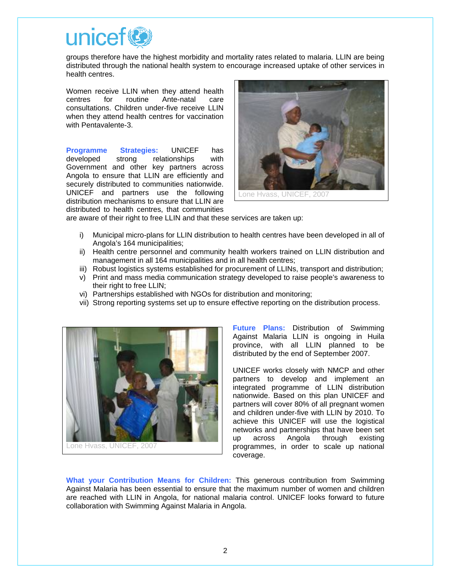

groups therefore have the highest morbidity and mortality rates related to malaria. LLIN are being distributed through the national health system to encourage increased uptake of other services in health centres.

Women receive LLIN when they attend health centres for routine Ante-natal care consultations. Children under-five receive LLIN when they attend health centres for vaccination with Pentavalente-3.

**Programme Strategies:** UNICEF has developed strong relationships with Government and other key partners across Angola to ensure that LLIN are efficiently and securely distributed to communities nationwide. UNICEF and partners use the following distribution mechanisms to ensure that LLIN are distributed to health centres, that communities



are aware of their right to free LLIN and that these services are taken up:

- i) Municipal micro-plans for LLIN distribution to health centres have been developed in all of Angola's 164 municipalities;
- ii) Health centre personnel and community health workers trained on LLIN distribution and management in all 164 municipalities and in all health centres;
- iii) Robust logistics systems established for procurement of LLINs, transport and distribution;
- v) Print and mass media communication strategy developed to raise people's awareness to their right to free LLIN;
- vi) Partnerships established with NGOs for distribution and monitoring;
- vii) Strong reporting systems set up to ensure effective reporting on the distribution process.



**Future Plans:** Distribution of Swimming Against Malaria LLIN is ongoing in Huila province, with all LLIN planned to be distributed by the end of September 2007.

UNICEF works closely with NMCP and other partners to develop and implement an integrated programme of LLIN distribution nationwide. Based on this plan UNICEF and partners will cover 80% of all pregnant women and children under-five with LLIN by 2010. To achieve this UNICEF will use the logistical networks and partnerships that have been set up across Angola through existing programmes, in order to scale up national coverage.

**What your Contribution Means for Children:** This generous contribution from Swimming Against Malaria has been essential to ensure that the maximum number of women and children are reached with LLIN in Angola, for national malaria control. UNICEF looks forward to future collaboration with Swimming Against Malaria in Angola.